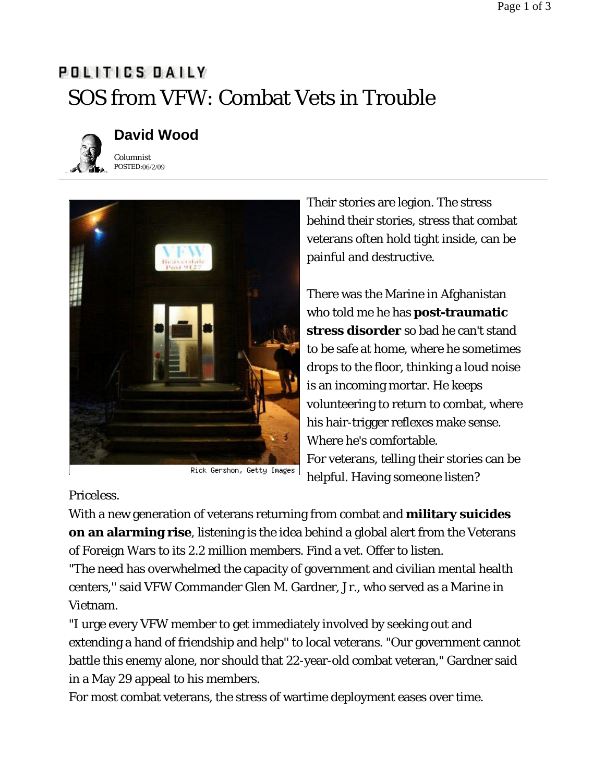## POLITICS DAILY SOS from VFW: Combat Vets in Trouble



## **David Wood**

POSTED: 06/2/09 *Columnist*



Their stories are legion. The stress behind their stories, stress that combat veterans often hold tight inside, can be painful and destructive.

There was the Marine in Afghanistan who told me he has **post-traumatic stress disorder** so bad he can't stand to be safe at home, where he sometimes drops to the floor, thinking a loud noise is an incoming mortar. He keeps volunteering to return to combat, where his hair-trigger reflexes make sense. Where he's comfortable. For veterans, telling their stories can be helpful. Having someone listen?

Priceless.

With a new generation of veterans returning from combat and **military suicides on an alarming rise**, listening is the idea behind a global alert from the Veterans of Foreign Wars to its 2.2 million members. Find a vet. Offer to listen.

"The need has overwhelmed the capacity of government and civilian mental health centers,'' said VFW Commander Glen M. Gardner, Jr., who served as a Marine in Vietnam.

"I urge every VFW member to get immediately involved by seeking out and extending a hand of friendship and help'' to local veterans. "Our government cannot battle this enemy alone, nor should that 22-year-old combat veteran," Gardner said in a May 29 appeal to his members.

For most combat veterans, the stress of wartime deployment eases over time.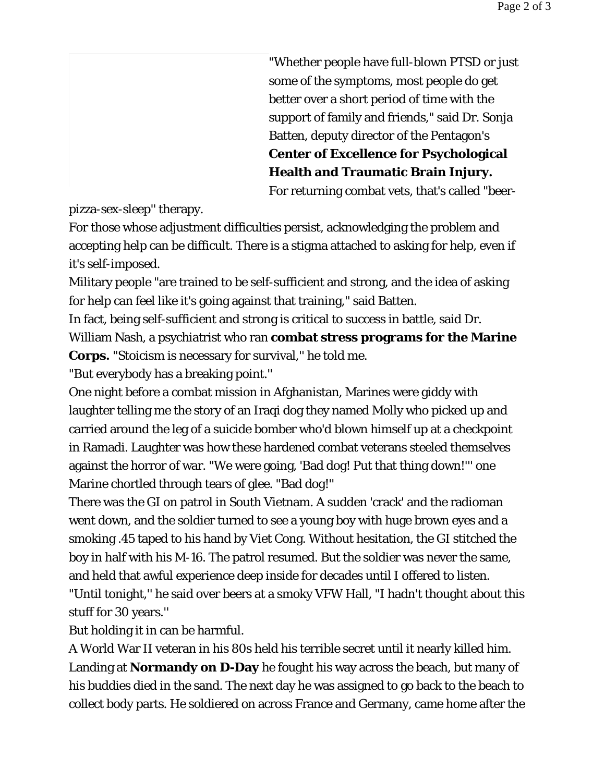"Whether people have full-blown PTSD or just some of the symptoms, most people do get better over a short period of time with the support of family and friends," said Dr. Sonja Batten, deputy director of the Pentagon's **Center of Excellence for Psychological Health and Traumatic Brain Injury.** For returning combat vets, that's called "beer-

pizza-sex-sleep'' therapy.

For those whose adjustment difficulties persist, acknowledging the problem and accepting help can be difficult. There is a stigma attached to asking for help, even if it's self-imposed.

Military people "are trained to be self-sufficient and strong, and the idea of asking for help can feel like it's going against that training,'' said Batten.

In fact, being self-sufficient and strong is critical to success in battle, said Dr. William Nash, a psychiatrist who ran **combat stress programs for the Marine Corps.** "Stoicism is necessary for survival,'' he told me.

"But everybody has a breaking point.''

One night before a combat mission in Afghanistan, Marines were giddy with laughter telling me the story of an Iraqi dog they named Molly who picked up and carried around the leg of a suicide bomber who'd blown himself up at a checkpoint in Ramadi. Laughter was how these hardened combat veterans steeled themselves against the horror of war. "We were going, 'Bad dog! Put that thing down!''' one Marine chortled through tears of glee. "Bad dog!''

There was the GI on patrol in South Vietnam. A sudden 'crack' and the radioman went down, and the soldier turned to see a young boy with huge brown eyes and a smoking .45 taped to his hand by Viet Cong. Without hesitation, the GI stitched the boy in half with his M-16. The patrol resumed. But the soldier was never the same, and held that awful experience deep inside for decades until I offered to listen. "Until tonight,'' he said over beers at a smoky VFW Hall, "I hadn't thought about this stuff for 30 years.''

But holding it in can be harmful.

A World War II veteran in his 80s held his terrible secret until it nearly killed him. Landing at **Normandy on D-Day** he fought his way across the beach, but many of his buddies died in the sand. The next day he was assigned to go back to the beach to collect body parts. He soldiered on across France and Germany, came home after the